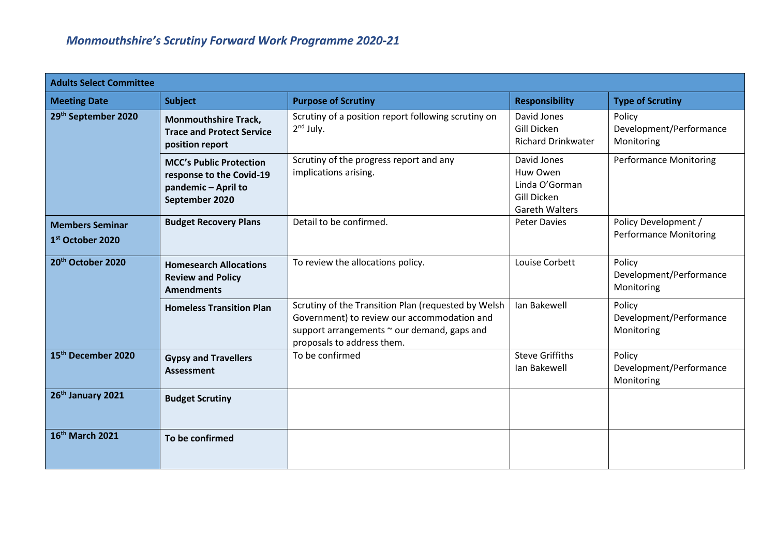| <b>Adults Select Committee</b>                         |                                                                                                     |                                                                                                                                                                                 |                                                                                   |                                                       |  |  |  |
|--------------------------------------------------------|-----------------------------------------------------------------------------------------------------|---------------------------------------------------------------------------------------------------------------------------------------------------------------------------------|-----------------------------------------------------------------------------------|-------------------------------------------------------|--|--|--|
| <b>Meeting Date</b>                                    | <b>Subject</b>                                                                                      | <b>Purpose of Scrutiny</b>                                                                                                                                                      | <b>Responsibility</b>                                                             | <b>Type of Scrutiny</b>                               |  |  |  |
| 29th September 2020                                    | <b>Monmouthshire Track,</b><br><b>Trace and Protect Service</b><br>position report                  | Scrutiny of a position report following scrutiny on<br>$2nd$ July.                                                                                                              | David Jones<br>Gill Dicken<br><b>Richard Drinkwater</b>                           | Policy<br>Development/Performance<br>Monitoring       |  |  |  |
|                                                        | <b>MCC's Public Protection</b><br>response to the Covid-19<br>pandemic - April to<br>September 2020 | Scrutiny of the progress report and any<br>implications arising.                                                                                                                | David Jones<br>Huw Owen<br>Linda O'Gorman<br>Gill Dicken<br><b>Gareth Walters</b> | <b>Performance Monitoring</b>                         |  |  |  |
| <b>Members Seminar</b><br>1 <sup>st</sup> October 2020 | <b>Budget Recovery Plans</b>                                                                        | Detail to be confirmed.                                                                                                                                                         | <b>Peter Davies</b>                                                               | Policy Development /<br><b>Performance Monitoring</b> |  |  |  |
| 20 <sup>th</sup> October 2020                          | <b>Homesearch Allocations</b><br><b>Review and Policy</b><br><b>Amendments</b>                      | To review the allocations policy.                                                                                                                                               | Louise Corbett                                                                    | Policy<br>Development/Performance<br>Monitoring       |  |  |  |
|                                                        | <b>Homeless Transition Plan</b>                                                                     | Scrutiny of the Transition Plan (requested by Welsh<br>Government) to review our accommodation and<br>support arrangements ~ our demand, gaps and<br>proposals to address them. | Ian Bakewell                                                                      | Policy<br>Development/Performance<br>Monitoring       |  |  |  |
| 15 <sup>th</sup> December 2020                         | <b>Gypsy and Travellers</b><br>Assessment                                                           | To be confirmed                                                                                                                                                                 | <b>Steve Griffiths</b><br>Ian Bakewell                                            | Policy<br>Development/Performance<br>Monitoring       |  |  |  |
| 26th January 2021                                      | <b>Budget Scrutiny</b>                                                                              |                                                                                                                                                                                 |                                                                                   |                                                       |  |  |  |
| 16th March 2021                                        | To be confirmed                                                                                     |                                                                                                                                                                                 |                                                                                   |                                                       |  |  |  |